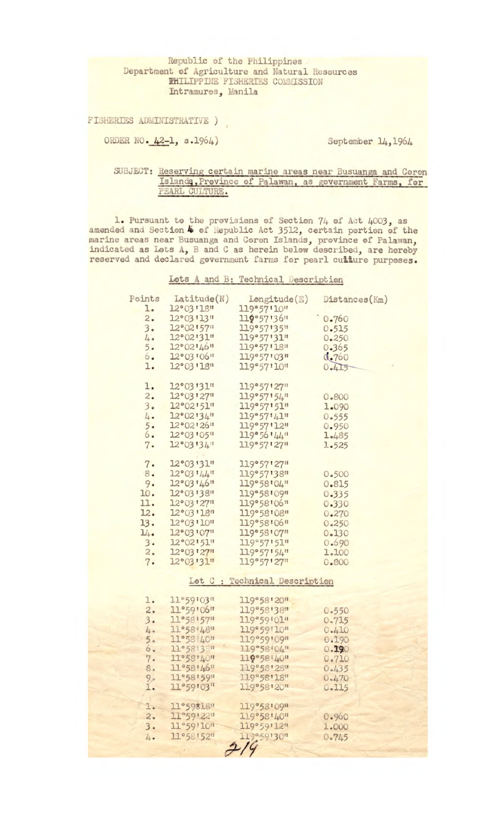Republic of the Philippines Department of Agriculture and Natural Resources **FHILIPPINE FISHERIES COMMISSION** Intramuros, Manila

FISHERIES ADMINISTRATIVE )

ORDER NO. 42-1, s.1964)

September 14, 1964

## SUBJECT: Reserving certain marine areas near Busuanga and Coron Islands, Province of Palawan, as government Farms, for PEARL CULTURE.

1. Pursuant to the provisions of Section 74 of Act 4003, as<br>amended and Section 4 of Republic Act 3512, certain portion of the<br>marine areas near Busuanga and Coron Islands, province of Palawan,<br>indicated as Lots A, B and C

Lots A and B: Technical Description

| Points                        | Latitude(N)                              | Longitude(E)              | Distances (Km) |
|-------------------------------|------------------------------------------|---------------------------|----------------|
| l.                            | 12°03'18"                                | 119°57'10"                |                |
| 2.                            | $12^{\circ}03'13''$                      | 119°57'36"                | 0.760          |
| 3.                            | $12^{\circ}02157$                        | 119°57'35"                | 0.515          |
| 4.0                           | 12°02'31"                                | 119°57'31"                | 0.250          |
| 5.                            | $12^{\circ}02'46''$                      | 119°57'18"                | 0.365          |
| 6.                            | 12°03'06"                                | 119°57'03"                | 0.760          |
| l.                            | 12°03'18"                                | 119°57'10"                | 0.415          |
|                               |                                          |                           |                |
| l.                            | 12°03'31"                                | $119°57'$ <sup>127"</sup> |                |
| 2.                            | $12^{\circ}03'27''$                      | 119°57'54"                | 0.800          |
| 3.                            | $12^{\circ}02^{\prime}51^{\prime\prime}$ | 119°57'51"                | 1.090          |
| 4.                            | $12^{\circ}02'34''$                      | 119°57'41"                | 0.555          |
| 5.                            | 12°02'26''                               | 119°57'12"                | 0.950          |
| 6.                            | 12°03'05"                                | 119°56'44"                | 1.485          |
| 7.                            | 12°03'34''                               | 119°57'27"                | 1.525          |
|                               |                                          |                           |                |
| 7.                            | 12°03'31"                                | 119°57'27"                |                |
| 8.                            | $12^{\circ}03'144''$                     | 119°57'38"                | 0.500          |
| 9.                            | 12°03'46"                                | 119°58'04"                | 0.815          |
| 10.                           | 12°03'38"                                | 119°58'09"                | 0.335          |
| 11.                           | 12°03'27"                                | 119°58'06"                | 0.330          |
| 12.                           | 12°03'18"                                | 119°58'08"                | 0.270          |
| 13.                           | 12°03'10"                                | 119°58'06"                | 0.250          |
| 1/4                           | 12°03'07"                                | 119°58'07"                | 0.130          |
| 3.                            | $12^{\circ}02151$                        | 119°57'51"                | 0.690          |
| 2.                            | 12°03'27"                                | 119°57'54"                | 1.100          |
| 7.                            | 12°03'31"                                | 119°57'27"                | 0.800          |
|                               |                                          |                           |                |
| Lot C : Technical Description |                                          |                           |                |
|                               |                                          |                           |                |
| l.                            | 11°59'03"                                | 119°58'20"                |                |
| 2.                            | 11°59'06"                                | 119°58'38"                | 0.550          |
| 3.                            | 11°58'57"                                | 119°59'01"                | 0.715          |
| 4.                            | 11°58'48"                                | 119°59'10"                | 0.410          |
| 5.5                           | 11°58 40"                                | 119°59'09"                | 0.190          |
| 6.                            | 11°58'38"                                | 119°58'04"                | 0.190          |
| 7.                            | 11°58'40"                                | 119°58'40"                | 0.710          |
| 8.                            | 11°58'46"                                | 119°58'28"                | 0.435          |
| 9.                            | 11°58'59"<br>11°59'03"                   | 119°58'18"                | 0.470          |
| I.                            |                                          | 119°58'20"                | 0.115          |
| l.                            | 11°59818"                                | 119°58'09"                |                |
| 2.                            | 11°59'22"                                | 119°58'40"                | 0.960          |
| 3.                            | 11°59'10"                                | 119°59'12"                | 1.000          |
| 4.                            | 11°58'52"                                | 119050130"                | 0.745          |
|                               |                                          |                           |                |
|                               |                                          |                           |                |